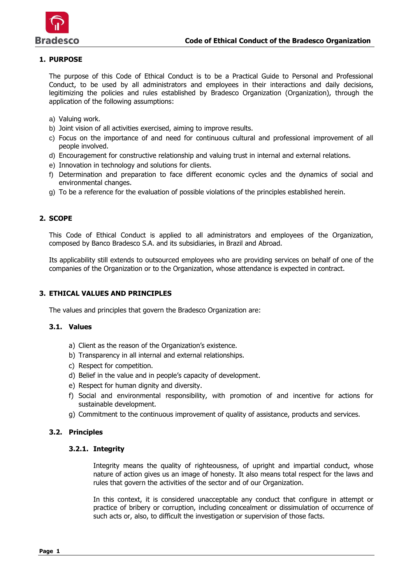

# **1. PURPOSE**

The purpose of this Code of Ethical Conduct is to be a Practical Guide to Personal and Professional Conduct, to be used by all administrators and employees in their interactions and daily decisions, legitimizing the policies and rules established by Bradesco Organization (Organization), through the application of the following assumptions:

- a) Valuing work.
- b) Joint vision of all activities exercised, aiming to improve results.
- c) Focus on the importance of and need for continuous cultural and professional improvement of all people involved.
- d) Encouragement for constructive relationship and valuing trust in internal and external relations.
- e) Innovation in technology and solutions for clients.
- f) Determination and preparation to face different economic cycles and the dynamics of social and environmental changes.
- g) To be a reference for the evaluation of possible violations of the principles established herein.

## **2. SCOPE**

This Code of Ethical Conduct is applied to all administrators and employees of the Organization, composed by Banco Bradesco S.A. and its subsidiaries, in Brazil and Abroad.

Its applicability still extends to outsourced employees who are providing services on behalf of one of the companies of the Organization or to the Organization, whose attendance is expected in contract.

## **3. ETHICAL VALUES AND PRINCIPLES**

The values and principles that govern the Bradesco Organization are:

#### **3.1. Values**

- a) Client as the reason of the Organization's existence.
- b) Transparency in all internal and external relationships.
- c) Respect for competition.
- d) Belief in the value and in people's capacity of development.
- e) Respect for human dignity and diversity.
- f) Social and environmental responsibility, with promotion of and incentive for actions for sustainable development.
- g) Commitment to the continuous improvement of quality of assistance, products and services.

## **3.2. Principles**

#### **3.2.1. Integrity**

Integrity means the quality of righteousness, of upright and impartial conduct, whose nature of action gives us an image of honesty. It also means total respect for the laws and rules that govern the activities of the sector and of our Organization.

In this context, it is considered unacceptable any conduct that configure in attempt or practice of bribery or corruption, including concealment or dissimulation of occurrence of such acts or, also, to difficult the investigation or supervision of those facts.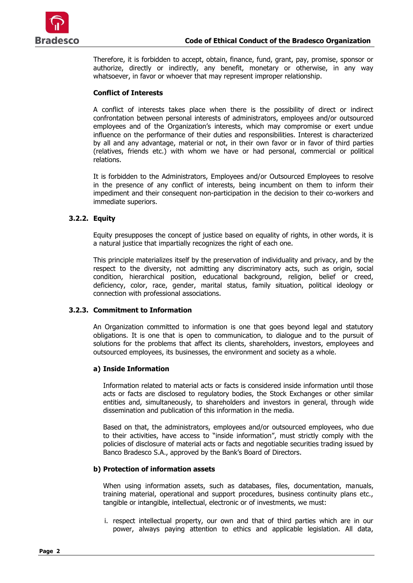

Therefore, it is forbidden to accept, obtain, finance, fund, grant, pay, promise, sponsor or authorize, directly or indirectly, any benefit, monetary or otherwise, in any way whatsoever, in favor or whoever that may represent improper relationship.

## **Conflict of Interests**

A conflict of interests takes place when there is the possibility of direct or indirect confrontation between personal interests of administrators, employees and/or outsourced employees and of the Organization's interests, which may compromise or exert undue influence on the performance of their duties and responsibilities. Interest is characterized by all and any advantage, material or not, in their own favor or in favor of third parties (relatives, friends etc.) with whom we have or had personal, commercial or political relations.

It is forbidden to the Administrators, Employees and/or Outsourced Employees to resolve in the presence of any conflict of interests, being incumbent on them to inform their impediment and their consequent non-participation in the decision to their co-workers and immediate superiors.

## **3.2.2. Equity**

Equity presupposes the concept of justice based on equality of rights, in other words, it is a natural justice that impartially recognizes the right of each one.

This principle materializes itself by the preservation of individuality and privacy, and by the respect to the diversity, not admitting any discriminatory acts, such as origin, social condition, hierarchical position, educational background, religion, belief or creed, deficiency, color, race, gender, marital status, family situation, political ideology or connection with professional associations.

#### **3.2.3. Commitment to Information**

An Organization committed to information is one that goes beyond legal and statutory obligations. It is one that is open to communication, to dialogue and to the pursuit of solutions for the problems that affect its clients, shareholders, investors, employees and outsourced employees, its businesses, the environment and society as a whole.

#### **a) Inside Information**

Information related to material acts or facts is considered inside information until those acts or facts are disclosed to regulatory bodies, the Stock Exchanges or other similar entities and, simultaneously, to shareholders and investors in general, through wide dissemination and publication of this information in the media.

Based on that, the administrators, employees and/or outsourced employees, who due to their activities, have access to "inside information", must strictly comply with the policies of disclosure of material acts or facts and negotiable securities trading issued by Banco Bradesco S.A., approved by the Bank's Board of Directors.

#### **b) Protection of information assets**

When using information assets, such as databases, files, documentation, manuals, training material, operational and support procedures, business continuity plans etc., tangible or intangible, intellectual, electronic or of investments, we must:

i. respect intellectual property, our own and that of third parties which are in our power, always paying attention to ethics and applicable legislation. All data,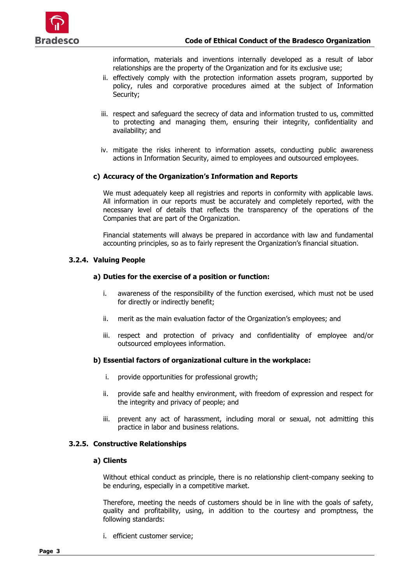

information, materials and inventions internally developed as a result of labor relationships are the property of the Organization and for its exclusive use;

- ii. effectively comply with the protection information assets program, supported by policy, rules and corporative procedures aimed at the subject of Information Security;
- iii. respect and safeguard the secrecy of data and information trusted to us, committed to protecting and managing them, ensuring their integrity, confidentiality and availability; and
- iv. mitigate the risks inherent to information assets, conducting public awareness actions in Information Security, aimed to employees and outsourced employees.

## **c) Accuracy of the Organization's Information and Reports**

We must adequately keep all registries and reports in conformity with applicable laws. All information in our reports must be accurately and completely reported, with the necessary level of details that reflects the transparency of the operations of the Companies that are part of the Organization.

Financial statements will always be prepared in accordance with law and fundamental accounting principles, so as to fairly represent the Organization's financial situation.

## **3.2.4. Valuing People**

## **a) Duties for the exercise of a position or function:**

- i. awareness of the responsibility of the function exercised, which must not be used for directly or indirectly benefit;
- ii. merit as the main evaluation factor of the Organization's employees; and
- iii. respect and protection of privacy and confidentiality of employee and/or outsourced employees information.

## **b) Essential factors of organizational culture in the workplace:**

- i. provide opportunities for professional growth;
- ii. provide safe and healthy environment, with freedom of expression and respect for the integrity and privacy of people; and
- iii. prevent any act of harassment, including moral or sexual, not admitting this practice in labor and business relations.

# **3.2.5. Constructive Relationships**

## **a) Clients**

Without ethical conduct as principle, there is no relationship client-company seeking to be enduring, especially in a competitive market.

Therefore, meeting the needs of customers should be in line with the goals of safety, quality and profitability, using, in addition to the courtesy and promptness, the following standards:

i. efficient customer service;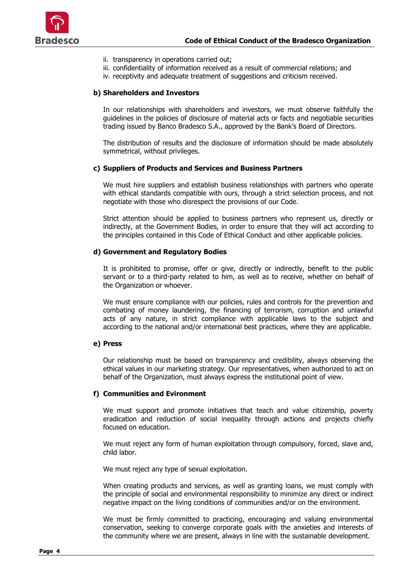

- ii. transparency in operations carried out;
- iii. confidentiality of information received as a result of commercial relations; and
- iv. receptivity and adequate treatment of suggestions and criticism received.

## **b) Shareholders and Investors**

In our relationships with shareholders and investors, we must observe faithfully the guidelines in the policies of disclosure of material acts or facts and negotiable securities trading issued by Banco Bradesco S.A., approved by the Bank's Board of Directors.

The distribution of results and the disclosure of information should be made absolutely symmetrical, without privileges.

## **c) Suppliers of Products and Services and Business Partners**

We must hire suppliers and establish business relationships with partners who operate with ethical standards compatible with ours, through a strict selection process, and not negotiate with those who disrespect the provisions of our Code.

Strict attention should be applied to business partners who represent us, directly or indirectly, at the Government Bodies, in order to ensure that they will act according to the principles contained in this Code of Ethical Conduct and other applicable policies.

## **d) Government and Regulatory Bodies**

It is prohibited to promise, offer or give, directly or indirectly, benefit to the public servant or to a third-party related to him, as well as to receive, whether on behalf of the Organization or whoever.

We must ensure compliance with our policies, rules and controls for the prevention and combating of money laundering, the financing of terrorism, corruption and unlawful acts of any nature, in strict compliance with applicable laws to the subject and according to the national and/or international best practices, where they are applicable.

## **e) Press**

Our relationship must be based on transparency and credibility, always observing the ethical values in our marketing strategy. Our representatives, when authorized to act on behalf of the Organization, must always express the institutional point of view.

## **f) Communities and Evironment**

We must support and promote initiatives that teach and value citizenship, poverty eradication and reduction of social inequality through actions and projects chiefly focused on education.

We must reject any form of human exploitation through compulsory, forced, slave and, child labor.

We must reject any type of sexual exploitation.

When creating products and services, as well as granting loans, we must comply with the principle of social and environmental responsibility to minimize any direct or indirect negative impact on the living conditions of communities and/or on the environment.

We must be firmly committed to practicing, encouraging and valuing environmental conservation, seeking to converge corporate goals with the anxieties and interests of the community where we are present, always in line with the sustainable development.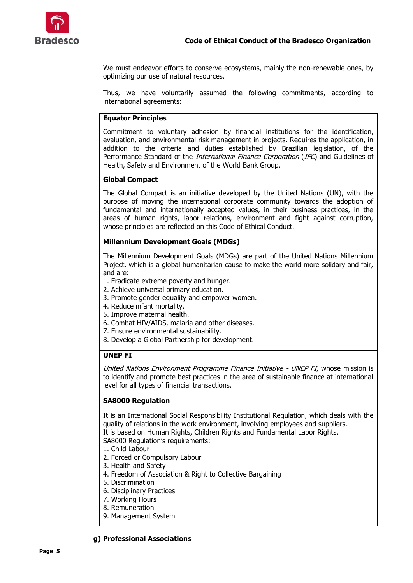

We must endeavor efforts to conserve ecosystems, mainly the non-renewable ones, by optimizing our use of natural resources.

Thus, we have voluntarily assumed the following commitments, according to international agreements:

### **Equator Principles**

Commitment to voluntary adhesion by financial institutions for the identification, evaluation, and environmental risk management in projects. Requires the application, in addition to the criteria and duties established by Brazilian legislation, of the Performance Standard of the *International Finance Corporation* (IFC) and Guidelines of Health, Safety and Environment of the World Bank Group.

## **Global Compact**

The Global Compact is an initiative developed by the United Nations (UN), with the purpose of moving the international corporate community towards the adoption of fundamental and internationally accepted values, in their business practices, in the areas of human rights, labor relations, environment and fight against corruption, whose principles are reflected on this Code of Ethical Conduct.

### **Millennium Development Goals (MDGs)**

The Millennium Development Goals (MDGs) are part of the United Nations Millennium Project, which is a global humanitarian cause to make the world more solidary and fair, and are:

- 1. Eradicate extreme poverty and hunger.
- 2. Achieve universal primary education.
- 3. Promote gender equality and empower women.
- 4. Reduce infant mortality.
- 5. Improve maternal health.
- 6. Combat HIV/AIDS, malaria and other diseases.
- 7. Ensure environmental sustainability.
- 8. Develop a Global Partnership for development.

## **UNEP FI**

United Nations Environment Programme Finance Initiative - UNEP FI, whose mission is to identify and promote best practices in the area of sustainable finance at international level for all types of financial transactions.

## **SA8000 Regulation**

It is an International Social Responsibility Institutional Regulation, which deals with the quality of relations in the work environment, involving employees and suppliers. It is based on Human Rights, Children Rights and Fundamental Labor Rights. SA8000 Regulation's requirements:

- 1. Child Labour
- 2. Forced or Compulsory Labour
- 3. Health and Safety
- 4. Freedom of Association & Right to Collective Bargaining
- 5. Discrimination
- 6. Disciplinary Practices
- 7. Working Hours
- 8. Remuneration
- 9. Management System

#### **g) Professional Associations**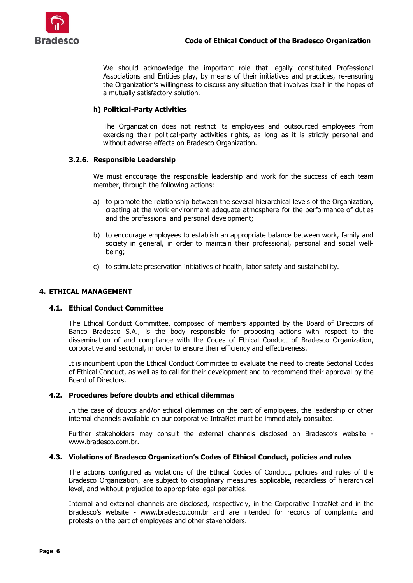

We should acknowledge the important role that legally constituted Professional Associations and Entities play, by means of their initiatives and practices, re-ensuring the Organization's willingness to discuss any situation that involves itself in the hopes of a mutually satisfactory solution.

# **h) Political-Party Activities**

The Organization does not restrict its employees and outsourced employees from exercising their political-party activities rights, as long as it is strictly personal and without adverse effects on Bradesco Organization.

## **3.2.6. Responsible Leadership**

We must encourage the responsible leadership and work for the success of each team member, through the following actions:

- a) to promote the relationship between the several hierarchical levels of the Organization, creating at the work environment adequate atmosphere for the performance of duties and the professional and personal development;
- b) to encourage employees to establish an appropriate balance between work, family and society in general, in order to maintain their professional, personal and social wellbeing;
- c) to stimulate preservation initiatives of health, labor safety and sustainability.

## **4. ETHICAL MANAGEMENT**

## **4.1. Ethical Conduct Committee**

The Ethical Conduct Committee, composed of members appointed by the Board of Directors of Banco Bradesco S.A., is the body responsible for proposing actions with respect to the dissemination of and compliance with the Codes of Ethical Conduct of Bradesco Organization, corporative and sectorial, in order to ensure their efficiency and effectiveness.

It is incumbent upon the Ethical Conduct Committee to evaluate the need to create Sectorial Codes of Ethical Conduct, as well as to call for their development and to recommend their approval by the Board of Directors.

## **4.2. Procedures before doubts and ethical dilemmas**

In the case of doubts and/or ethical dilemmas on the part of employees, the leadership or other internal channels available on our corporative IntraNet must be immediately consulted.

Further stakeholders may consult the external channels disclosed on Bradesco's website www.bradesco.com.br.

## **4.3. Violations of Bradesco Organization's Codes of Ethical Conduct, policies and rules**

The actions configured as violations of the Ethical Codes of Conduct, policies and rules of the Bradesco Organization, are subject to disciplinary measures applicable, regardless of hierarchical level, and without prejudice to appropriate legal penalties.

Internal and external channels are disclosed, respectively, in the Corporative IntraNet and in the Bradesco's website - www.bradesco.com.br and are intended for records of complaints and protests on the part of employees and other stakeholders.